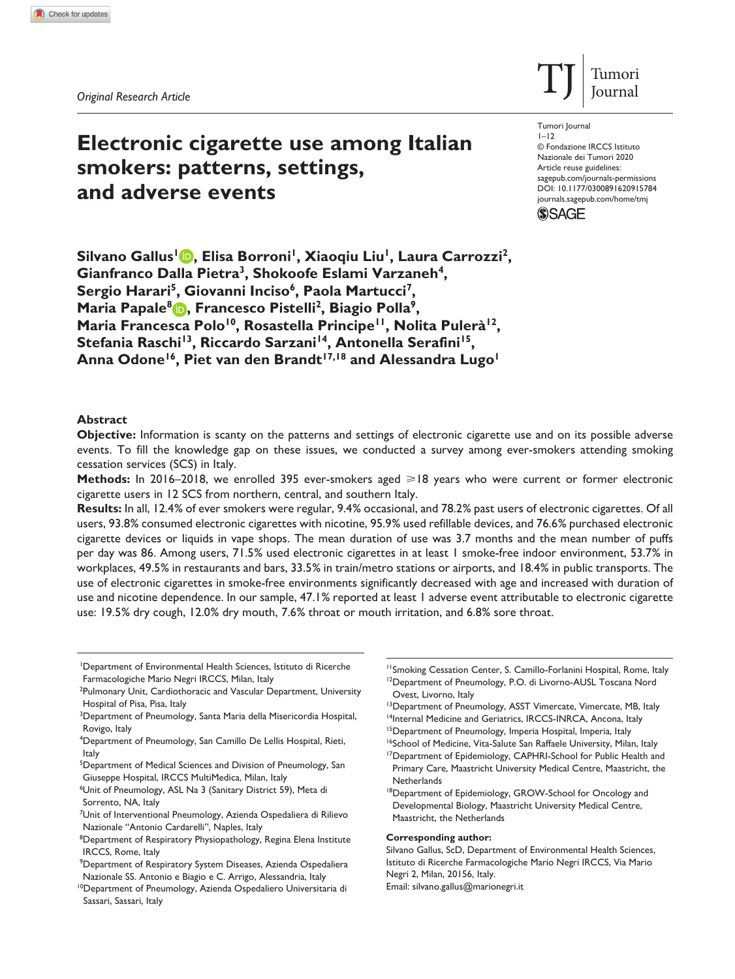# **Electronic cigarette use among Italian smokers: patterns, settings, and adverse events**

DOI: 10.1177/0300891620915784 Tumori Journal  $1 - 12$ © Fondazione IRCCS Istituto Nazionale dei Tumori 2020 Article reuse guidelines: [sagepub.com/journals-permissions](https://uk.sagepub.com/en-gb/journals-permissions) [journals.sagepub.com/home/tmj](https://journals.sagepub.com/home/tmj)

 $T$ J Tumori



Silvano Gallus<sup>1</sup> **D**, Elisa Borroni<sup>1</sup>, Xiaoqiu Liu<sup>1</sup>, Laura Carrozzi<sup>2</sup>, Gianfranco Dalla Pietra<sup>3</sup>, Shokoofe Eslami Varzaneh<sup>4</sup>, Sergio Harari<sup>5</sup>, Giovanni Inciso<sup>6</sup>, Paola Martucci<sup>7</sup>, **Maria Papale<sup>8</sup> <b>D**, Francesco Pistelli<sup>2</sup>, Biagio Polla<sup>9</sup>, Maria Francesca Polo<sup>10</sup>, Rosastella Principe<sup>11</sup>, Nolita Pulerà<sup>12</sup>, Stefania Raschi<sup>13</sup>, Riccardo Sarzani<sup>14</sup>, Antonella Serafini<sup>15</sup>, Anna Odone<sup>16</sup>, Piet van den Brandt<sup>17,18</sup> and Alessandra Lugo<sup>1</sup>

## **Abstract**

**Objective:** Information is scanty on the patterns and settings of electronic cigarette use and on its possible adverse events. To fill the knowledge gap on these issues, we conducted a survey among ever-smokers attending smoking cessation services (SCS) in Italy.

**Methods:** In 2016–2018, we enrolled 395 ever-smokers aged ≥18 years who were current or former electronic cigarette users in 12 SCS from northern, central, and southern Italy.

**Results:** In all, 12.4% of ever smokers were regular, 9.4% occasional, and 78.2% past users of electronic cigarettes. Of all users, 93.8% consumed electronic cigarettes with nicotine, 95.9% used refillable devices, and 76.6% purchased electronic cigarette devices or liquids in vape shops. The mean duration of use was 3.7 months and the mean number of puffs per day was 86. Among users, 71.5% used electronic cigarettes in at least 1 smoke-free indoor environment, 53.7% in workplaces, 49.5% in restaurants and bars, 33.5% in train/metro stations or airports, and 18.4% in public transports. The use of electronic cigarettes in smoke-free environments significantly decreased with age and increased with duration of use and nicotine dependence. In our sample, 47.1% reported at least 1 adverse event attributable to electronic cigarette use: 19.5% dry cough, 12.0% dry mouth, 7.6% throat or mouth irritation, and 6.8% sore throat.

1 Department of Environmental Health Sciences, Istituto di Ricerche Farmacologiche Mario Negri IRCCS, Milan, Italy

<sup>2</sup>Pulmonary Unit, Cardiothoracic and Vascular Department, University Hospital of Pisa, Pisa, Italy

- <sup>3</sup>Department of Pneumology, Santa Maria della Misericordia Hospital, Rovigo, Italy
- 4 Department of Pneumology, San Camillo De Lellis Hospital, Rieti, Italy
- <sup>5</sup>Department of Medical Sciences and Division of Pneumology, San Giuseppe Hospital, IRCCS MultiMedica, Milan, Italy

<sup>6</sup>Unit of Pneumology, ASL Na 3 (Sanitary District 59), Meta di Sorrento, NA, Italy

- <sup>7</sup>Unit of Interventional Pneumology, Azienda Ospedaliera di Rilievo Nazionale "Antonio Cardarelli", Naples, Italy
- <sup>8</sup>Department of Respiratory Physiopathology, Regina Elena Institute IRCCS, Rome, Italy
- <sup>11</sup>Smoking Cessation Center, S. Camillo-Forlanini Hospital, Rome, Italy <sup>12</sup>Department of Pneumology, P.O. di Livorno-AUSL Toscana Nord Ovest, Livorno, Italy
- <sup>13</sup>Department of Pneumology, ASST Vimercate, Vimercate, MB, Italy
- <sup>14</sup>Internal Medicine and Geriatrics, IRCCS-INRCA, Ancona, Italy

#### **Corresponding author:**

Silvano Gallus, ScD, Department of Environmental Health Sciences, Istituto di Ricerche Farmacologiche Mario Negri IRCCS, Via Mario Negri 2, Milan, 20156, Italy. Email: [silvano.gallus@marionegri.it](mailto:silvano.gallus@marionegri.it)

<sup>9</sup> Department of Respiratory System Diseases, Azienda Ospedaliera Nazionale SS. Antonio e Biagio e C. Arrigo, Alessandria, Italy

<sup>10</sup>Department of Pneumology, Azienda Ospedaliero Universitaria di Sassari, Sassari, Italy

<sup>&</sup>lt;sup>15</sup>Department of Pneumology, Imperia Hospital, Imperia, Italy

<sup>&</sup>lt;sup>16</sup>School of Medicine, Vita-Salute San Raffaele University, Milan, Italy

<sup>&</sup>lt;sup>17</sup>Department of Epidemiology, CAPHRI-School for Public Health and Primary Care, Maastricht University Medical Centre, Maastricht, the **Netherlands** 

<sup>&</sup>lt;sup>18</sup>Department of Epidemiology, GROW-School for Oncology and Developmental Biology, Maastricht University Medical Centre, Maastricht, the Netherlands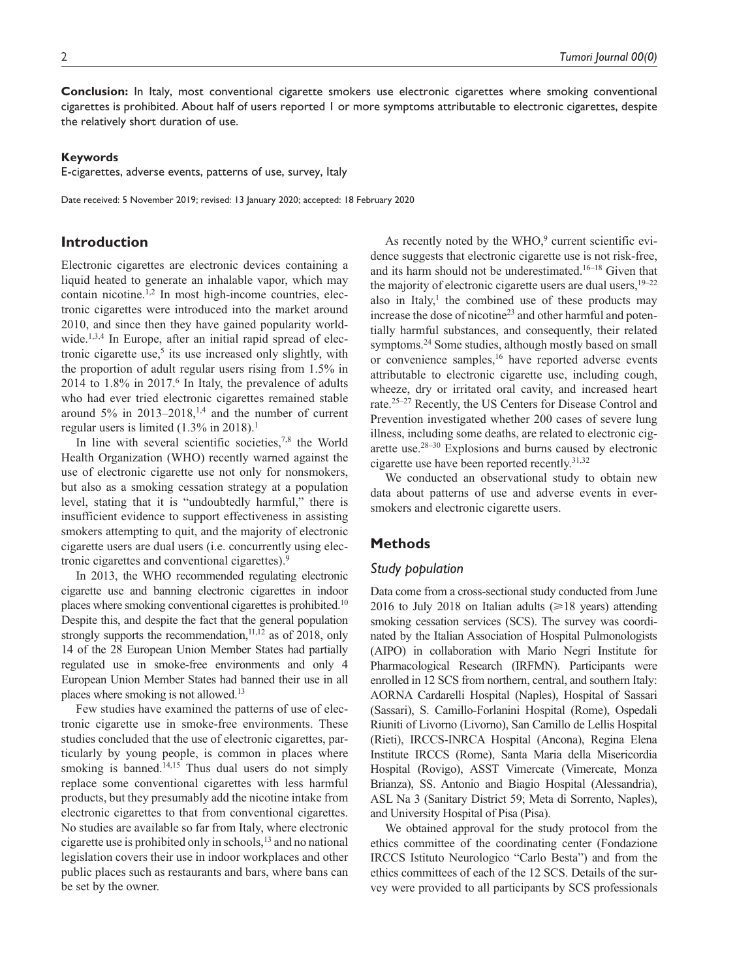**Conclusion:** In Italy, most conventional cigarette smokers use electronic cigarettes where smoking conventional cigarettes is prohibited. About half of users reported 1 or more symptoms attributable to electronic cigarettes, despite the relatively short duration of use.

## **Keywords**

E-cigarettes, adverse events, patterns of use, survey, Italy

Date received: 5 November 2019; revised: 13 January 2020; accepted: 18 February 2020

# **Introduction**

Electronic cigarettes are electronic devices containing a liquid heated to generate an inhalable vapor, which may contain nicotine.<sup>1,2</sup> In most high-income countries, electronic cigarettes were introduced into the market around 2010, and since then they have gained popularity worldwide.<sup>1,3,4</sup> In Europe, after an initial rapid spread of electronic cigarette use, $5$  its use increased only slightly, with the proportion of adult regular users rising from 1.5% in  $2014$  to  $1.8\%$  in  $2017<sup>6</sup>$  In Italy, the prevalence of adults who had ever tried electronic cigarettes remained stable around  $5\%$  in 2013–2018,<sup>1,4</sup> and the number of current regular users is limited (1.3% in 2018).<sup>1</sup>

In line with several scientific societies, $7,8$  the World Health Organization (WHO) recently warned against the use of electronic cigarette use not only for nonsmokers, but also as a smoking cessation strategy at a population level, stating that it is "undoubtedly harmful," there is insufficient evidence to support effectiveness in assisting smokers attempting to quit, and the majority of electronic cigarette users are dual users (i.e. concurrently using electronic cigarettes and conventional cigarettes).9

In 2013, the WHO recommended regulating electronic cigarette use and banning electronic cigarettes in indoor places where smoking conventional cigarettes is prohibited.10 Despite this, and despite the fact that the general population strongly supports the recommendation,  $11,12$  as of 2018, only 14 of the 28 European Union Member States had partially regulated use in smoke-free environments and only 4 European Union Member States had banned their use in all places where smoking is not allowed.13

Few studies have examined the patterns of use of electronic cigarette use in smoke-free environments. These studies concluded that the use of electronic cigarettes, particularly by young people, is common in places where smoking is banned.<sup>14,15</sup> Thus dual users do not simply replace some conventional cigarettes with less harmful products, but they presumably add the nicotine intake from electronic cigarettes to that from conventional cigarettes. No studies are available so far from Italy, where electronic cigarette use is prohibited only in schools,13 and no national legislation covers their use in indoor workplaces and other public places such as restaurants and bars, where bans can be set by the owner.

As recently noted by the  $WHO<sup>9</sup>$  current scientific evidence suggests that electronic cigarette use is not risk-free, and its harm should not be underestimated.16–18 Given that the majority of electronic cigarette users are dual users,  $19-22$ also in Italy, $\frac{1}{1}$  the combined use of these products may increase the dose of nicotine<sup>23</sup> and other harmful and potentially harmful substances, and consequently, their related symptoms.<sup>24</sup> Some studies, although mostly based on small or convenience samples,<sup>16</sup> have reported adverse events attributable to electronic cigarette use, including cough, wheeze, dry or irritated oral cavity, and increased heart rate.25–27 Recently, the US Centers for Disease Control and Prevention investigated whether 200 cases of severe lung illness, including some deaths, are related to electronic cigarette use.28–30 Explosions and burns caused by electronic cigarette use have been reported recently.<sup>31,32</sup>

We conducted an observational study to obtain new data about patterns of use and adverse events in eversmokers and electronic cigarette users.

# **Methods**

# *Study population*

Data come from a cross-sectional study conducted from June 2016 to July 2018 on Italian adults  $(\geq 18$  years) attending smoking cessation services (SCS). The survey was coordinated by the Italian Association of Hospital Pulmonologists (AIPO) in collaboration with Mario Negri Institute for Pharmacological Research (IRFMN). Participants were enrolled in 12 SCS from northern, central, and southern Italy: AORNA Cardarelli Hospital (Naples), Hospital of Sassari (Sassari), S. Camillo-Forlanini Hospital (Rome), Ospedali Riuniti of Livorno (Livorno), San Camillo de Lellis Hospital (Rieti), IRCCS-INRCA Hospital (Ancona), Regina Elena Institute IRCCS (Rome), Santa Maria della Misericordia Hospital (Rovigo), ASST Vimercate (Vimercate, Monza Brianza), SS. Antonio and Biagio Hospital (Alessandria), ASL Na 3 (Sanitary District 59; Meta di Sorrento, Naples), and University Hospital of Pisa (Pisa).

We obtained approval for the study protocol from the ethics committee of the coordinating center (Fondazione IRCCS Istituto Neurologico "Carlo Besta") and from the ethics committees of each of the 12 SCS. Details of the survey were provided to all participants by SCS professionals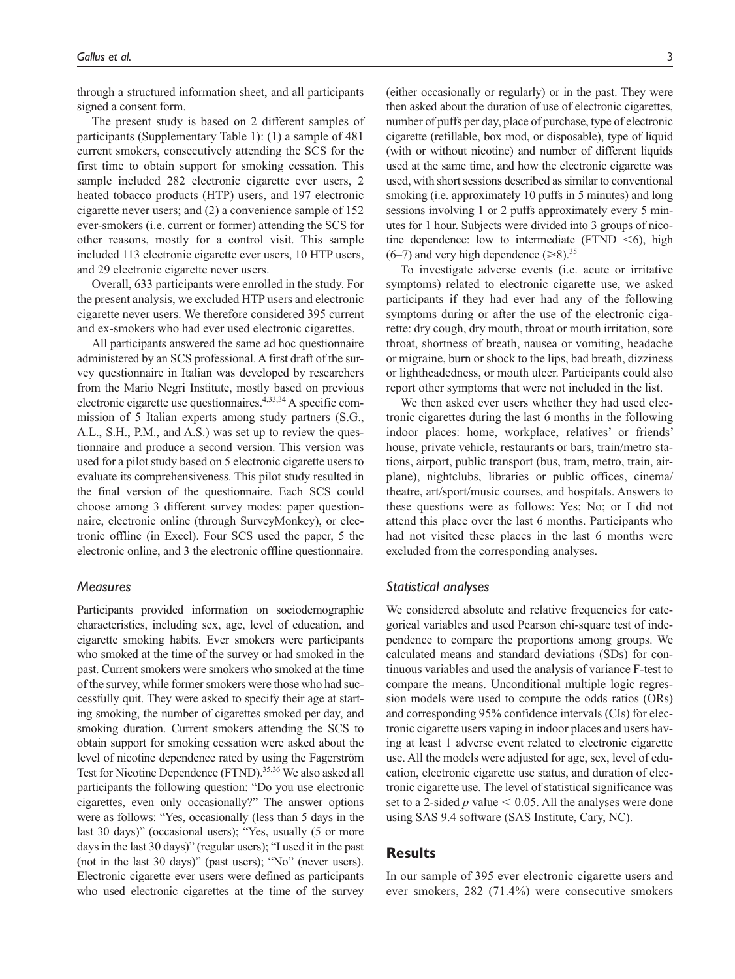through a structured information sheet, and all participants signed a consent form.

The present study is based on 2 different samples of participants (Supplementary Table 1): (1) a sample of 481 current smokers, consecutively attending the SCS for the first time to obtain support for smoking cessation. This sample included 282 electronic cigarette ever users, 2 heated tobacco products (HTP) users, and 197 electronic cigarette never users; and (2) a convenience sample of 152 ever-smokers (i.e. current or former) attending the SCS for other reasons, mostly for a control visit. This sample included 113 electronic cigarette ever users, 10 HTP users, and 29 electronic cigarette never users.

Overall, 633 participants were enrolled in the study. For the present analysis, we excluded HTP users and electronic cigarette never users. We therefore considered 395 current and ex-smokers who had ever used electronic cigarettes.

All participants answered the same ad hoc questionnaire administered by an SCS professional. A first draft of the survey questionnaire in Italian was developed by researchers from the Mario Negri Institute, mostly based on previous electronic cigarette use questionnaires. $4,33,34$  A specific commission of 5 Italian experts among study partners (S.G., A.L., S.H., P.M., and A.S.) was set up to review the questionnaire and produce a second version. This version was used for a pilot study based on 5 electronic cigarette users to evaluate its comprehensiveness. This pilot study resulted in the final version of the questionnaire. Each SCS could choose among 3 different survey modes: paper questionnaire, electronic online (through SurveyMonkey), or electronic offline (in Excel). Four SCS used the paper, 5 the electronic online, and 3 the electronic offline questionnaire.

## *Measures*

Participants provided information on sociodemographic characteristics, including sex, age, level of education, and cigarette smoking habits. Ever smokers were participants who smoked at the time of the survey or had smoked in the past. Current smokers were smokers who smoked at the time of the survey, while former smokers were those who had successfully quit. They were asked to specify their age at starting smoking, the number of cigarettes smoked per day, and smoking duration. Current smokers attending the SCS to obtain support for smoking cessation were asked about the level of nicotine dependence rated by using the Fagerström Test for Nicotine Dependence (FTND).<sup>35,36</sup> We also asked all participants the following question: "Do you use electronic cigarettes, even only occasionally?" The answer options were as follows: "Yes, occasionally (less than 5 days in the last 30 days)" (occasional users); "Yes, usually (5 or more days in the last 30 days)" (regular users); "I used it in the past (not in the last 30 days)" (past users); "No" (never users). Electronic cigarette ever users were defined as participants who used electronic cigarettes at the time of the survey

(either occasionally or regularly) or in the past. They were then asked about the duration of use of electronic cigarettes, number of puffs per day, place of purchase, type of electronic cigarette (refillable, box mod, or disposable), type of liquid (with or without nicotine) and number of different liquids used at the same time, and how the electronic cigarette was used, with short sessions described as similar to conventional smoking (i.e. approximately 10 puffs in 5 minutes) and long sessions involving 1 or 2 puffs approximately every 5 minutes for 1 hour. Subjects were divided into 3 groups of nicotine dependence: low to intermediate (FTND  $\leq 6$ ), high  $(6-7)$  and very high dependence  $(\geq 8)$ <sup>35</sup>

To investigate adverse events (i.e. acute or irritative symptoms) related to electronic cigarette use, we asked participants if they had ever had any of the following symptoms during or after the use of the electronic cigarette: dry cough, dry mouth, throat or mouth irritation, sore throat, shortness of breath, nausea or vomiting, headache or migraine, burn or shock to the lips, bad breath, dizziness or lightheadedness, or mouth ulcer. Participants could also report other symptoms that were not included in the list.

We then asked ever users whether they had used electronic cigarettes during the last 6 months in the following indoor places: home, workplace, relatives' or friends' house, private vehicle, restaurants or bars, train/metro stations, airport, public transport (bus, tram, metro, train, airplane), nightclubs, libraries or public offices, cinema/ theatre, art/sport/music courses, and hospitals. Answers to these questions were as follows: Yes; No; or I did not attend this place over the last 6 months. Participants who had not visited these places in the last 6 months were excluded from the corresponding analyses.

## *Statistical analyses*

We considered absolute and relative frequencies for categorical variables and used Pearson chi-square test of independence to compare the proportions among groups. We calculated means and standard deviations (SDs) for continuous variables and used the analysis of variance F-test to compare the means. Unconditional multiple logic regression models were used to compute the odds ratios (ORs) and corresponding 95% confidence intervals (CIs) for electronic cigarette users vaping in indoor places and users having at least 1 adverse event related to electronic cigarette use. All the models were adjusted for age, sex, level of education, electronic cigarette use status, and duration of electronic cigarette use. The level of statistical significance was set to a 2-sided  $p$  value  $\leq 0.05$ . All the analyses were done using SAS 9.4 software (SAS Institute, Cary, NC).

# **Results**

In our sample of 395 ever electronic cigarette users and ever smokers, 282 (71.4%) were consecutive smokers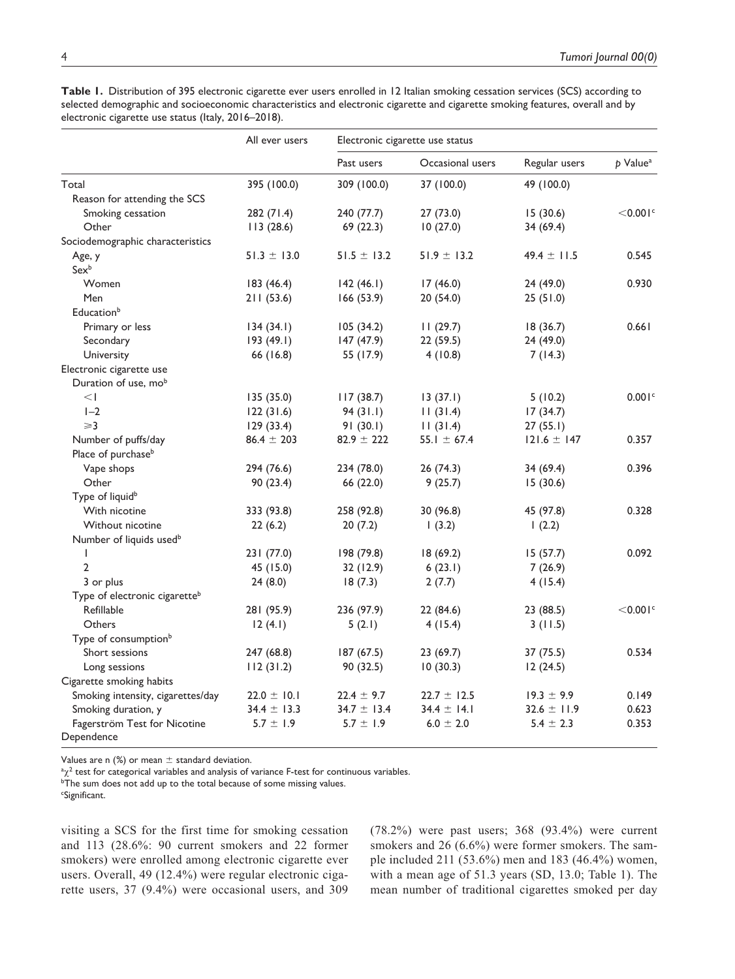|                                           | All ever users  |                 | Electronic cigarette use status |                 |                        |
|-------------------------------------------|-----------------|-----------------|---------------------------------|-----------------|------------------------|
|                                           |                 | Past users      | Occasional users                | Regular users   | $p$ Value <sup>a</sup> |
| Total                                     | 395 (100.0)     | 309 (100.0)     | 37 (100.0)                      | 49 (100.0)      |                        |
| Reason for attending the SCS              |                 |                 |                                 |                 |                        |
| Smoking cessation                         | 282 (71.4)      | 240 (77.7)      | 27 (73.0)                       | 15(30.6)        | $<$ 0.001 $\degree$    |
| Other                                     | 113(28.6)       | 69 (22.3)       | 10(27.0)                        | 34 (69.4)       |                        |
| Sociodemographic characteristics          |                 |                 |                                 |                 |                        |
| Age, y                                    | $51.3 \pm 13.0$ | $51.5 \pm 13.2$ | $51.9 \pm 13.2$                 | $49.4 \pm 11.5$ | 0.545                  |
| $Sex^b$                                   |                 |                 |                                 |                 |                        |
| Women                                     | 183(46.4)       | 142(46.1)       | 17(46.0)                        | 24 (49.0)       | 0.930                  |
| Men                                       | 211(53.6)       | 166 (53.9)      | 20 (54.0)                       | 25(51.0)        |                        |
| Education <sup>b</sup>                    |                 |                 |                                 |                 |                        |
| Primary or less                           | 134(34.1)       | 105(34.2)       | 11(29.7)                        | 18(36.7)        | 0.661                  |
| Secondary                                 | 193 (49.1)      | 147(47.9)       | 22 (59.5)                       | 24 (49.0)       |                        |
| University                                | 66 (16.8)       | 55 (17.9)       | 4(10.8)                         | 7(14.3)         |                        |
| Electronic cigarette use                  |                 |                 |                                 |                 |                        |
| Duration of use, mob                      |                 |                 |                                 |                 |                        |
| $\leq$                                    | 135 (35.0)      | 117(38.7)       | 13(37.1)                        | 5(10.2)         | 0.001c                 |
| $1-2$                                     | 122(31.6)       | 94(31.1)        | 11(31.4)                        | 17(34.7)        |                        |
| $\geqslant$ 3                             | 129(33.4)       | 91(30.1)        | 11(31.4)                        | 27(55.1)        |                        |
| Number of puffs/day                       | $86.4 \pm 203$  | $82.9 \pm 222$  | 55.1 $\pm$ 67.4                 | $121.6 \pm 147$ | 0.357                  |
| Place of purchase <sup>b</sup>            |                 |                 |                                 |                 |                        |
| Vape shops                                | 294 (76.6)      | 234 (78.0)      | 26 (74.3)                       | 34 (69.4)       | 0.396                  |
| Other                                     | 90(23.4)        | 66 (22.0)       | 9(25.7)                         | 15(30.6)        |                        |
| Type of liquid <sup>b</sup>               |                 |                 |                                 |                 |                        |
| With nicotine                             | 333 (93.8)      | 258 (92.8)      | 30 (96.8)                       | 45 (97.8)       | 0.328                  |
| Without nicotine                          | 22(6.2)         | 20(7.2)         | (3.2)                           | 1(2.2)          |                        |
| Number of liquids used <sup>b</sup>       |                 |                 |                                 |                 |                        |
| Т                                         | 231 (77.0)      | 198 (79.8)      | 18 (69.2)                       | 15(57.7)        | 0.092                  |
| $\overline{2}$                            | 45 (15.0)       | 32 (12.9)       | 6(23.1)                         | 7(26.9)         |                        |
| 3 or plus                                 | 24(8.0)         | 18(7.3)         | 2(7.7)                          | 4(15.4)         |                        |
| Type of electronic cigarette <sup>b</sup> |                 |                 |                                 |                 |                        |
| Refillable                                | 281 (95.9)      | 236 (97.9)      | 22 (84.6)                       | 23 (88.5)       | $<$ 0.001 $\degree$    |
| Others                                    | 12(4.1)         | 5(2.1)          | 4(15.4)                         | 3(11.5)         |                        |
| Type of consumption <sup>b</sup>          |                 |                 |                                 |                 |                        |
| Short sessions                            | 247 (68.8)      | 187 (67.5)      | 23(69.7)                        | 37(75.5)        | 0.534                  |
| Long sessions                             | 112(31.2)       | 90 (32.5)       | 10(30.3)                        | 12(24.5)        |                        |
| Cigarette smoking habits                  |                 |                 |                                 |                 |                        |
| Smoking intensity, cigarettes/day         | $22.0 \pm 10.1$ | $22.4 \pm 9.7$  | $22.7 \pm 12.5$                 | $19.3 \pm 9.9$  | 0.149                  |
| Smoking duration, y                       | $34.4 \pm 13.3$ | $34.7 \pm 13.4$ | $34.4 \pm 14.1$                 | $32.6 \pm 11.9$ | 0.623                  |
| Fagerström Test for Nicotine              | $5.7 \pm 1.9$   | $5.7 \pm 1.9$   | $6.0 \pm 2.0$                   | $5.4 \pm 2.3$   | 0.353                  |
| Dependence                                |                 |                 |                                 |                 |                        |

**Table 1.** Distribution of 395 electronic cigarette ever users enrolled in 12 Italian smoking cessation services (SCS) according to selected demographic and socioeconomic characteristics and electronic cigarette and cigarette smoking features, overall and by electronic cigarette use status (Italy, 2016–2018).

Values are n  $(\%)$  or mean  $\pm$  standard deviation.

 $\alpha \chi^2$  test for categorical variables and analysis of variance F-test for continuous variables.

<sup>b</sup>The sum does not add up to the total because of some missing values.

c Significant.

visiting a SCS for the first time for smoking cessation and 113 (28.6%: 90 current smokers and 22 former smokers) were enrolled among electronic cigarette ever users. Overall, 49 (12.4%) were regular electronic cigarette users, 37 (9.4%) were occasional users, and 309

(78.2%) were past users; 368 (93.4%) were current smokers and 26 (6.6%) were former smokers. The sample included 211 (53.6%) men and 183 (46.4%) women, with a mean age of 51.3 years (SD, 13.0; Table 1). The mean number of traditional cigarettes smoked per day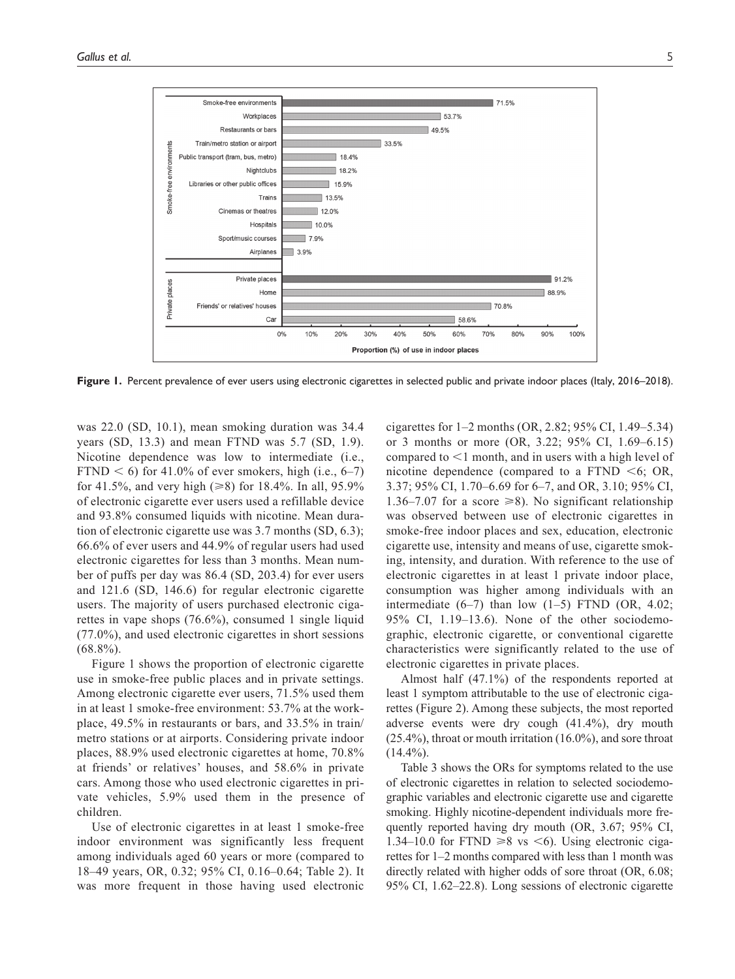

Figure 1. Percent prevalence of ever users using electronic cigarettes in selected public and private indoor places (Italy, 2016–2018).

was 22.0 (SD, 10.1), mean smoking duration was 34.4 years (SD, 13.3) and mean FTND was 5.7 (SD, 1.9). Nicotine dependence was low to intermediate (i.e., FTND  $\leq 6$ ) for 41.0% of ever smokers, high (i.e., 6–7) for 41.5%, and very high (≥8) for 18.4%. In all, 95.9% of electronic cigarette ever users used a refillable device and 93.8% consumed liquids with nicotine. Mean duration of electronic cigarette use was 3.7 months (SD, 6.3); 66.6% of ever users and 44.9% of regular users had used electronic cigarettes for less than 3 months. Mean number of puffs per day was 86.4 (SD, 203.4) for ever users and 121.6 (SD, 146.6) for regular electronic cigarette users. The majority of users purchased electronic cigarettes in vape shops (76.6%), consumed 1 single liquid (77.0%), and used electronic cigarettes in short sessions  $(68.8\%)$ .

Figure 1 shows the proportion of electronic cigarette use in smoke-free public places and in private settings. Among electronic cigarette ever users, 71.5% used them in at least 1 smoke-free environment: 53.7% at the workplace, 49.5% in restaurants or bars, and 33.5% in train/ metro stations or at airports. Considering private indoor places, 88.9% used electronic cigarettes at home, 70.8% at friends' or relatives' houses, and 58.6% in private cars. Among those who used electronic cigarettes in private vehicles, 5.9% used them in the presence of children.

Use of electronic cigarettes in at least 1 smoke-free indoor environment was significantly less frequent among individuals aged 60 years or more (compared to 18–49 years, OR, 0.32; 95% CI, 0.16–0.64; Table 2). It was more frequent in those having used electronic

cigarettes for 1–2 months (OR, 2.82; 95% CI, 1.49–5.34) or 3 months or more (OR, 3.22; 95% CI, 1.69–6.15) compared to <1 month, and in users with a high level of nicotine dependence (compared to a FTND  $\leq 6$ ; OR, 3.37; 95% CI, 1.70–6.69 for 6–7, and OR, 3.10; 95% CI, 1.36–7.07 for a score  $\geq 8$ ). No significant relationship was observed between use of electronic cigarettes in smoke-free indoor places and sex, education, electronic cigarette use, intensity and means of use, cigarette smoking, intensity, and duration. With reference to the use of electronic cigarettes in at least 1 private indoor place, consumption was higher among individuals with an intermediate  $(6-7)$  than low  $(1-5)$  FTND  $(OR, 4.02;$ 95% CI, 1.19–13.6). None of the other sociodemographic, electronic cigarette, or conventional cigarette characteristics were significantly related to the use of electronic cigarettes in private places.

Almost half (47.1%) of the respondents reported at least 1 symptom attributable to the use of electronic cigarettes (Figure 2). Among these subjects, the most reported adverse events were dry cough (41.4%), dry mouth (25.4%), throat or mouth irritation (16.0%), and sore throat  $(14.4\%)$ .

Table 3 shows the ORs for symptoms related to the use of electronic cigarettes in relation to selected sociodemographic variables and electronic cigarette use and cigarette smoking. Highly nicotine-dependent individuals more frequently reported having dry mouth (OR, 3.67; 95% CI, 1.34–10.0 for FTND  $\geq 8$  vs  $\leq 6$ ). Using electronic cigarettes for 1–2 months compared with less than 1 month was directly related with higher odds of sore throat (OR, 6.08; 95% CI, 1.62–22.8). Long sessions of electronic cigarette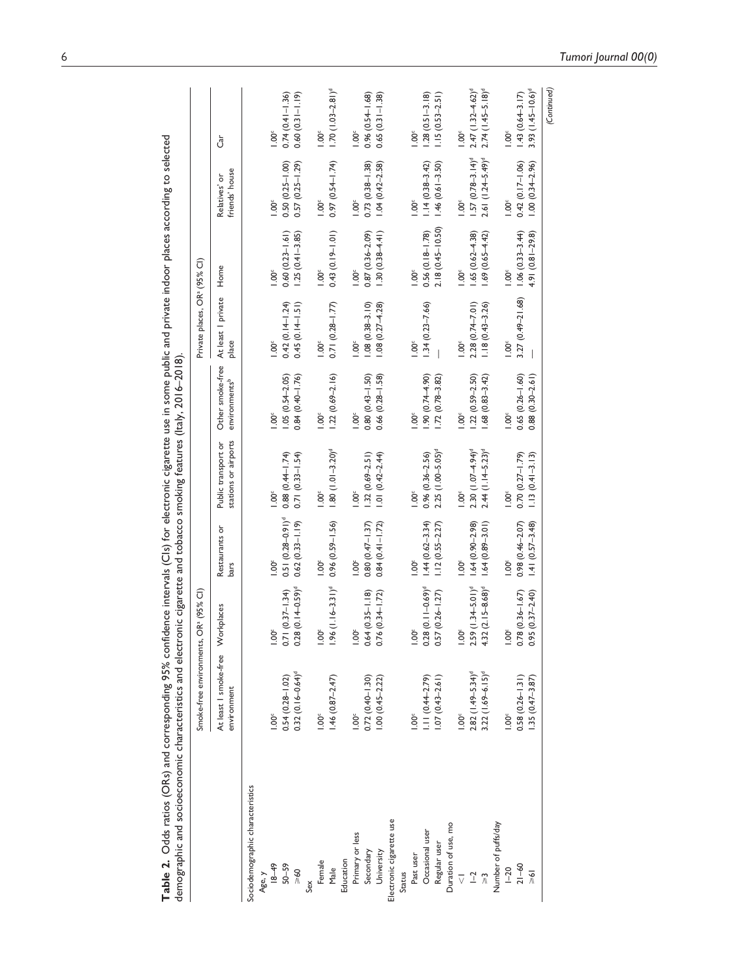|                                     | Smoke-free environments,             | OR <sup>3</sup> (95% Cl)            |                               |                                             |                                               | Private places, OR <sup>a</sup> (95% Cl) |                        |                                   |                       |
|-------------------------------------|--------------------------------------|-------------------------------------|-------------------------------|---------------------------------------------|-----------------------------------------------|------------------------------------------|------------------------|-----------------------------------|-----------------------|
|                                     | At least I smoke-free<br>environment | Workplaces                          | Restaurants or<br><b>bars</b> | stations or airports<br>Public transport or | Other smoke-free<br>environments <sup>b</sup> | At least I private<br>place              | Home                   | friends' house<br>ŏ<br>Relatives' | Ĵ                     |
| Sociodemographic characteristics    |                                      |                                     |                               |                                             |                                               |                                          |                        |                                   |                       |
| Age, y                              |                                      |                                     |                               |                                             |                                               |                                          |                        |                                   |                       |
| $18 - 49$                           | $\sum_{i=1}^{\infty}$                | $1.00^{\circ}$                      | $1.00^{\circ}$                | $rac{6}{1}$                                 | $\sum_{i=1}^{\infty}$                         | 1.00 <sup>c</sup>                        | $\frac{8}{100}$        | 100 <sup>c</sup>                  | $1.00^{\circ}$        |
| $50 - 59$                           | $0.54(0.28 - 1.02)$                  | $0.71(0.37 - 1.34)$                 | $0.51 (0.28 - 0.91)^d$        | $0.88(0.44 - 1.74)$                         | $1.05(0.5 + 2.05)$                            | $0.42(0.1 + 1.24)$                       | $0.60(0.23 - 1.61)$    | $0.50(0.25 - 1.00)$               | $0.74(0.41 - 1.36)$   |
| >60                                 | $0.32(0.16 - 0.64)^d$                | $0.28(0.14 - 0.59)^d$               | $0.62(0.33 - 1.19)$           | $0.71(0.33 - 1.54)$                         | $0.84(0.40 - 1.76)$                           | $0.45(0.14-1.51)$                        | $1.25(0.41 - 3.85)$    | $0.57$ $(0.25 - 1.29)$            | $0.60(0.31 - 1.19)$   |
| Sex                                 |                                      |                                     |                               |                                             |                                               |                                          |                        |                                   |                       |
| Female                              | $1.00^{\circ}$                       | ğ                                   | 1.00 <sup>c</sup>             | $1.00^\circ$                                | $1.00^\circ$                                  | 1.00 <sup>c</sup>                        | $1.00^\circ$           | 1.00 <sup>c</sup>                 | 1.00 <sup>c</sup>     |
| Male                                | $1.46(0.87 - 2.47)$                  | $.96$ (1.16-3.31) <sup>d</sup>      | $0.96(0.59 - 1.56)$           | $1.80(1.01 - 3.20)^d$                       | $1.22(0.69 - 2.16)$                           | $0.71$ $(0.28 - 1.77)$                   | $0.43(0.19 - 1.01)$    | $0.97(0.54 - 1.74)$               | $1.70(1.03 - 2.81)^d$ |
| Education                           |                                      |                                     |                               |                                             |                                               |                                          |                        |                                   |                       |
| Primary or less                     | $1.00^{\circ}$                       | $1.00^{\circ}$                      | 1.00 <sup>c</sup>             | $1.00^\circ$                                | $1.00^{\circ}$                                | 1.00 <sup>c</sup>                        | $1.00^{\circ}$         | $1.00^{\circ}$                    | 1.00 <sup>c</sup>     |
| Secondary                           | $0.72(0.40 - 1.30)$                  | $0.64(0.35 - 1.18)$                 | $0.80(0.47 - 1.37)$           | $1.32(0.69 - 2.51)$                         | $0.80(0.43 - 1.50)$                           | $1.08(0.38 - 3.10)$                      | $0.87(0.36 - 2.09)$    | $0.73(0.38 - 1.38)$               | $0.96(0.54 - 1.68)$   |
| University                          | $1.00(0.45 - 2.22)$                  | $0.76(0.3 + 1.72)$                  | $0.84(0.41 - 1.72)$           | $1.01(0.42 - 2.44)$                         | $0.66$ $(0.28 - 1.58)$                        | $1.08(0.27 - 4.28)$                      | $1.30(0.38 - 4.41)$    | $1.04(0.42 - 2.58)$               | $0.65(0.31 - 1.38)$   |
| Electronic cigarette use            |                                      |                                     |                               |                                             |                                               |                                          |                        |                                   |                       |
| Status                              |                                      |                                     |                               |                                             |                                               |                                          |                        |                                   |                       |
| Past user                           | $\sum_{i=1}^{\infty}$                | $1.00^{\circ}$                      | 1.00 <sup>c</sup>             | $1.00^\circ$                                | $1.00^{\circ}$                                | 1.00 <sup>c</sup>                        | $1.00^\circ$           | $1.00^{\circ}$                    | 1.00 <sup>c</sup>     |
| Occasional user                     | $1.11(0.44 - 2.79)$                  | $0.28$ $(0.11 - 0.69)$ <sup>d</sup> | $1.44(0.62 - 3.34)$           | $0.96$ $(0.36 - 2.56)$                      | (0.744.90)                                    | $1.34(0.23 - 7.66)$                      | $0.56$ $(0.18 - 1.78)$ | $1.14(0.38 - 3.42)$               | $1.28(0.51 - 3.18)$   |
| Regular user                        | $1.07(0.43 - 2.61)$                  | $0.57(0.26 - 1.27)$                 | $1.12(0.55 - 2.27)$           | $2.25(1.00 - 5.05)^d$                       | $1.72(0.78 - 3.82)$                           |                                          | $2.18(0.45 - 10.50)$   | $1.46(0.61 - 3.50)$               | $1.15(0.53 - 2.51)$   |
| Duration of use, mo                 |                                      |                                     |                               |                                             |                                               |                                          |                        |                                   |                       |
| $\overline{\vee}$                   | $1.00^{\circ}$                       | $1.00^{\circ}$                      | 1.00 <sup>c</sup>             | $1.00^{\circ}$                              | $1.00^{\circ}$                                | $1.00^\circ$                             | $1.00^{\circ}$         | $\sum_{i=1}^{n}$                  | 1.00 <sup>c</sup>     |
| $\overline{a}$                      | $2.82$ (1.49-5.34) <sup>d</sup>      | $2.59$ $(1.34 - 5.01)$ <sup>d</sup> | $1.64(0.90 - 2.98)$           | $2.30(1.07 - 4.94)^d$                       | $.22(0.59 - 2.50)$                            | $2.28(0.74 - 7.01)$                      | $1.65(0.62 - 4.38)$    | $1.57(0.78-3.14)^d$               | $2.47(1.32 - 4.62)^d$ |
| $\stackrel{\sim}{\scriptstyle\sim}$ | $3.22(1.69 - 6.15)^d$                | $4.32(2.15 - 8.68)$ <sup>d</sup>    | $1.64(0.89 - 3.01)$           | $2.44$ (1.14-5.23) <sup>d</sup>             | $.68(0.83 - 3.42)$                            | $1.18(0.43 - 3.26)$                      | $1.69(0.65 - 4.42)$    | 2.61 (1.24-5.49) <sup>d</sup>     | $2.74(1.45 - 5.18)^d$ |
| Number of puffs/day                 |                                      |                                     |                               |                                             |                                               |                                          |                        |                                   |                       |
| $1 - 20$                            | $1.00^{\circ}$                       | $1.00^{\circ}$                      | 1.00 <sup>c</sup>             | $1.00^{\circ}$                              | $1.00^{\circ}$                                | 1.00 <sup>c</sup>                        | 1.00 <sup>c</sup>      | $1.00^{\circ}$                    | 1.00 <sup>c</sup>     |
| $21 - 60$                           | $0.58(0.26 - 1.31)$                  | $0.78(0.36 - 1.67)$                 | $0.98(0.46 - 2.07)$           | $0.70(0.27 - 1.79)$                         | $0.65(0.26 - 1.60)$                           | $3.27(0.49 - 21.68)$                     | $1.06(0.33 - 3.44)$    | $0.42(0.17-1.06)$                 | $1.43(0.64 - 3.17)$   |
| $\frac{1}{\sqrt{2}}$                | $.35(0.47 - 3.87)$                   | $0.95(0.37 - 2.40)$                 | $1.41(0.57 - 3.48)$           | $1.13(0.41 - 3.13)$                         | $0.88(0.30 - 2.61)$                           |                                          | $4.91(0.81 - 29.8)$    | $1.00(0.34 - 2.96)$               | $3.93(1.45 - 10.6)^d$ |
|                                     |                                      |                                     |                               |                                             |                                               |                                          |                        |                                   | (Continued)           |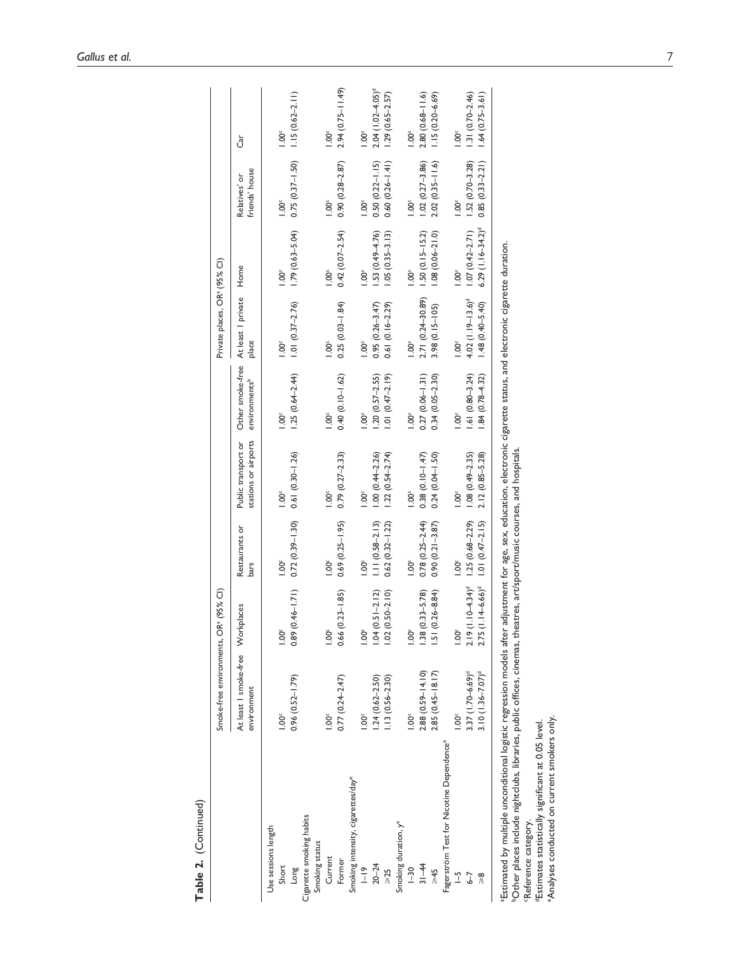|                                                                                                                                                                                                                                                                                                                 | At least I smoke-free Workplaces<br>environment |                                | Restaurants or<br>bars               | stations or airports<br>Public transport or | environments <sup>b</sup> | Other smoke-free At least I private<br>place | Home                     | friends' house<br>Relatives' or | Ğ                     |
|-----------------------------------------------------------------------------------------------------------------------------------------------------------------------------------------------------------------------------------------------------------------------------------------------------------------|-------------------------------------------------|--------------------------------|--------------------------------------|---------------------------------------------|---------------------------|----------------------------------------------|--------------------------|---------------------------------|-----------------------|
| Use sessions length                                                                                                                                                                                                                                                                                             |                                                 |                                |                                      |                                             |                           |                                              |                          |                                 |                       |
| Short                                                                                                                                                                                                                                                                                                           | 00 <sup>c</sup>                                 | Ŏ.                             | 1.00 <sup>c</sup>                    | 1.00 <sup>c</sup>                           | 1.00 <sup>c</sup>         | 1.00 <sup>5</sup>                            | $1.00^\circ$             | $1.00^{\circ}$                  | 1.00 <sup>c</sup>     |
| Puor                                                                                                                                                                                                                                                                                                            | $0.96$ $(0.52 - 1.79)$                          | $0.89(0.46 - 1.71)$            | $0.72(0.39 - 1.30)$                  | $0.61(0.30 - 1.26)$                         | $1.25(0.64-2.44)$         | $1.01 (0.37 - 2.76)$                         | $1.79(0.63 - 5.04)$      | $0.75(0.37 - 1.50)$             | $1.15(0.62 - 2.11)$   |
| Cigarette smoking habits                                                                                                                                                                                                                                                                                        |                                                 |                                |                                      |                                             |                           |                                              |                          |                                 |                       |
| Smoking status                                                                                                                                                                                                                                                                                                  |                                                 |                                |                                      |                                             |                           |                                              |                          |                                 |                       |
| Current                                                                                                                                                                                                                                                                                                         | $\sum_{i=1}^{\infty}$                           | $\check{S}$                    | $\sum_{i=1}^{\infty}$                | $1.00^\circ$                                | 1.00 <sup>c</sup>         | 1.00 <sup>c</sup>                            | $1.00^\circ$             | $1.00^\circ$                    | 1.00 <sup>c</sup>     |
| Former                                                                                                                                                                                                                                                                                                          | $0.77(0.24 - 2.47)$                             | $.66(0.23 - 1.85)$             | $0.69(0.25 - 1.95)$                  | $0.79(0.27 - 2.33)$                         | $0.40(0.10 - 1.62)$       | $0.25(0.03 - 1.84)$                          | $0.42(0.07 - 2.54)$      | $0.90(0.28 - 2.87)$             | $2.94(0.75 - 11.49)$  |
| Smoking intensity, cigarettes/day <sup>e</sup>                                                                                                                                                                                                                                                                  |                                                 |                                |                                      |                                             |                           |                                              |                          |                                 |                       |
| $\frac{9}{1}$                                                                                                                                                                                                                                                                                                   | Ŏ.                                              | $\ddot{\rm 00}$                | 1.00 <sup>c</sup>                    | $\sum_{i=1}^{\infty}$                       | $1.00^\circ$              | $1.00^\circ$                                 | $\sum_{i=1}^{\infty}$    | $1.00^{\circ}$                  | $1.00^{\circ}$        |
| $20 - 24$                                                                                                                                                                                                                                                                                                       | $1.24(0.62 - 2.50)$                             | $.04(0.51 - 2.12)$             | $1.11 (0.58 - 2.13)$                 | $1.00(0.44 - 2.26)$                         | $1.20(0.57 - 2.55)$       | $0.95(0.26 - 3.47)$                          | $1.53(0.49 - 4.76)$      | $0.50(0.22 - 1.15)$             | $2.04(1.02 - 4.05)^d$ |
| $\geqslant$ 25                                                                                                                                                                                                                                                                                                  | $.13(0.56 - 2.30)$                              | $.02(0.50 - 2.10)$             | $0.62(0.32 - 1.22)$                  | $1.22(0.54 - 2.74)$                         | $1.01 (0.47 - 2.19)$      | $0.61(0.16 - 2.29)$                          | $1.05(0.35 - 3.13)$      | $0.60(0.26 - 1.41)$             | $1.29(0.65 - 2.57)$   |
| Smoking duration, y <sup>e</sup>                                                                                                                                                                                                                                                                                |                                                 |                                |                                      |                                             |                           |                                              |                          |                                 |                       |
| $-30$                                                                                                                                                                                                                                                                                                           | $\overline{0}$                                  | $\ddot{\rm 0}$                 | 1.00 <sup>c</sup>                    | $1.00^\circ$                                | $1.00^\circ$              | $1.00^\circ$                                 | $1.00^\circ$             | $\sum_{i=1}^{n}$                | 1.00 <sup>c</sup>     |
| $31 - 44$                                                                                                                                                                                                                                                                                                       | 2.88 (0.59-14.10)                               | $.38(0.33 - 5.78)$             | $0.78(0.25 - 2.44)$                  | $0.38(0.10 - 1.47)$                         | $0.27(0.06 - 1.31)$       | 2.71 (0.24-30.89)                            | $1.50(0.15 - 15.2)$      | $1.02(0.27 - 3.86)$             | $2.80(0.68 - 11.6)$   |
| $5+5$                                                                                                                                                                                                                                                                                                           | $2.85(0.45-18.17)$                              | $.51(0.26 - 8.84)$             | $0.90(0.21 - 3.87)$                  | $0.24$ $(0.04 - 1.50)$                      | $0.34(0.05 - 2.30)$       | $3.98(0.15 - 105)$                           | $.08(0.06 - 21.0)$       | $2.02(0.35 - 11.6)$             | $1.15(0.20 - 6.69)$   |
| Fagerström Test for Nicotine Dependence®                                                                                                                                                                                                                                                                        |                                                 |                                |                                      |                                             |                           |                                              |                          |                                 |                       |
| $\overline{1}$                                                                                                                                                                                                                                                                                                  | $\sum_{i=1}^{n}$                                | $\ddot{\rm o}$                 | 1.00 <sup>c</sup>                    | $1.00^{\circ}$                              | $1.00^\circ$              | $1.00^{\circ}$                               | $1.00^\circ$             | $1.00^\circ$                    | 1.00 <sup>c</sup>     |
| $6 - 7$                                                                                                                                                                                                                                                                                                         | $3.37(1.70 - 6.69)^d$                           |                                | $1.19(1.10-4.34)^d$ 1.25 (0.68-2.29) | $1.08(0.49 - 2.35)$                         | $1.61(0.80 - 3.24)$       | $4.02$ (1.19-13.6) <sup>d</sup>              | $1.07(0.42 - 2.71)$      | $1.52(0.70 - 3.28)$             | $1.31(0.70 - 2.46)$   |
|                                                                                                                                                                                                                                                                                                                 | $3.10(1.36 - 7.07)^d$                           | $.75$ (1.14-6.66) <sup>d</sup> | $1.01(0.47 - 2.15)$                  | $2.12(0.85 - 5.28)$                         | 84 (0.78-4.32)            | $1.48(0.40 - 5.40)$                          | $6.29$ $(1.16 - 34.2)^d$ | $0.85(0.33 - 2.21)$             | $1.64(0.75 - 3.61)$   |
| Estimated by multiple unconditional logistic regression models after adjustment for age, sex, education, electronic cigarette status, and electronic cigarette duration.<br><sup>6</sup> Other places include nightclubs, libraries, public offices, cinemas, theatres, art/sport/music courses, and hospitals. |                                                 |                                |                                      |                                             |                           |                                              |                          |                                 |                       |
| Reference category.                                                                                                                                                                                                                                                                                             |                                                 |                                |                                      |                                             |                           |                                              |                          |                                 |                       |
| <sup>d</sup> Estimates statistically significant at 0.05 level.                                                                                                                                                                                                                                                 |                                                 |                                |                                      |                                             |                           |                                              |                          |                                 |                       |
| "Analyses conducted on current smokers only.                                                                                                                                                                                                                                                                    |                                                 |                                |                                      |                                             |                           |                                              |                          |                                 |                       |

Table 2. (Continued) (Continued)**Table 2.**

Smoke-free environments, ORa (95% CI)  $\mathsf{PR}$  (95% CI)  $\mathsf{PR}$  (95% CI)

Smoke-free environments, OR<sup>ª</sup> (95% Cl)

Private places, OR<sup>a</sup> (95% CI)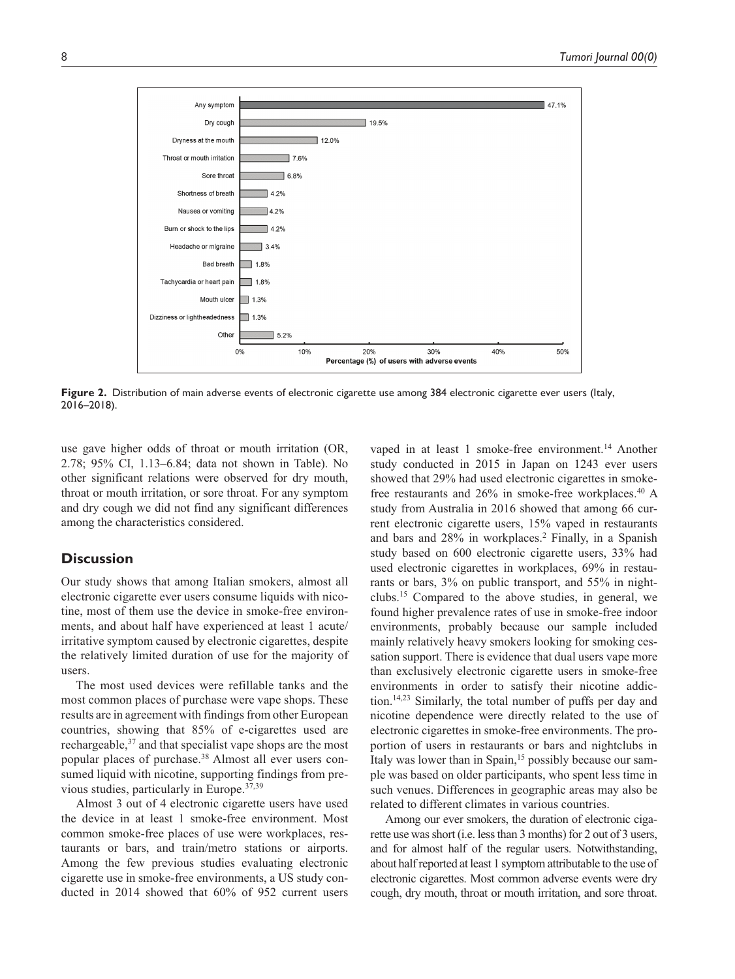

Figure 2. Distribution of main adverse events of electronic cigarette use among 384 electronic cigarette ever users (Italy, 2016–2018).

use gave higher odds of throat or mouth irritation (OR, 2.78; 95% CI, 1.13–6.84; data not shown in Table). No other significant relations were observed for dry mouth, throat or mouth irritation, or sore throat. For any symptom and dry cough we did not find any significant differences among the characteristics considered.

# **Discussion**

Our study shows that among Italian smokers, almost all electronic cigarette ever users consume liquids with nicotine, most of them use the device in smoke-free environments, and about half have experienced at least 1 acute/ irritative symptom caused by electronic cigarettes, despite the relatively limited duration of use for the majority of users.

The most used devices were refillable tanks and the most common places of purchase were vape shops. These results are in agreement with findings from other European countries, showing that 85% of e-cigarettes used are rechargeable,<sup>37</sup> and that specialist vape shops are the most popular places of purchase.38 Almost all ever users consumed liquid with nicotine, supporting findings from previous studies, particularly in Europe.37,39

Almost 3 out of 4 electronic cigarette users have used the device in at least 1 smoke-free environment. Most common smoke-free places of use were workplaces, restaurants or bars, and train/metro stations or airports. Among the few previous studies evaluating electronic cigarette use in smoke-free environments, a US study conducted in 2014 showed that 60% of 952 current users vaped in at least 1 smoke-free environment.<sup>14</sup> Another study conducted in 2015 in Japan on 1243 ever users showed that 29% had used electronic cigarettes in smokefree restaurants and 26% in smoke-free workplaces.40 A study from Australia in 2016 showed that among 66 current electronic cigarette users, 15% vaped in restaurants and bars and 28% in workplaces.<sup>2</sup> Finally, in a Spanish study based on 600 electronic cigarette users, 33% had used electronic cigarettes in workplaces, 69% in restaurants or bars, 3% on public transport, and 55% in nightclubs.15 Compared to the above studies, in general, we found higher prevalence rates of use in smoke-free indoor environments, probably because our sample included mainly relatively heavy smokers looking for smoking cessation support. There is evidence that dual users vape more than exclusively electronic cigarette users in smoke-free environments in order to satisfy their nicotine addiction.14,23 Similarly, the total number of puffs per day and nicotine dependence were directly related to the use of electronic cigarettes in smoke-free environments. The proportion of users in restaurants or bars and nightclubs in Italy was lower than in Spain,<sup>15</sup> possibly because our sample was based on older participants, who spent less time in such venues. Differences in geographic areas may also be related to different climates in various countries.

Among our ever smokers, the duration of electronic cigarette use was short (i.e. less than 3 months) for 2 out of 3 users, and for almost half of the regular users. Notwithstanding, about half reported at least 1 symptom attributable to the use of electronic cigarettes. Most common adverse events were dry cough, dry mouth, throat or mouth irritation, and sore throat.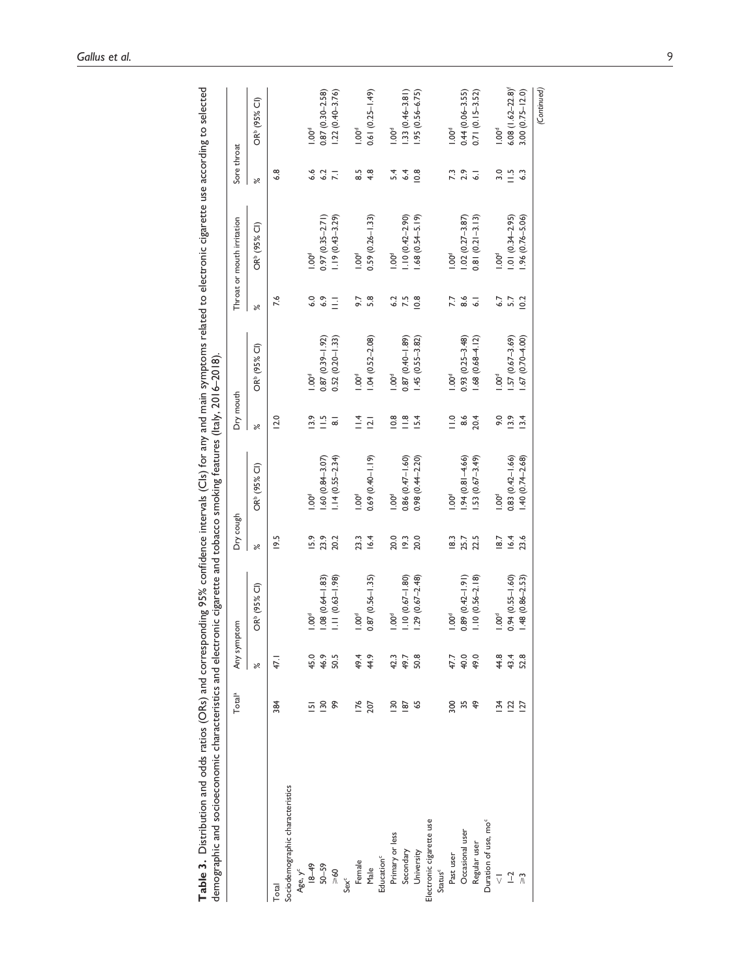| demographic and socioeconomic characteristics and electronic cigarette and tobacco smoking features (Italy, 2016-2018). |                           |             |                          |           |                          |                     |                          |                |                            |                |                                 |
|-------------------------------------------------------------------------------------------------------------------------|---------------------------|-------------|--------------------------|-----------|--------------------------|---------------------|--------------------------|----------------|----------------------------|----------------|---------------------------------|
|                                                                                                                         | Total <sup>a</sup>        | Any symptom |                          | Dry cough |                          | Dry mouth           |                          |                | Throat or mouth irritation | Sore throat    |                                 |
|                                                                                                                         |                           | $\approx$   | OR <sup>b</sup> (95% Cl) | ৯ৎ        | OR <sup>b</sup> (95% Cl) | ৯ৎ                  | OR <sup>b</sup> (95% Cl) | ৯ৎ             | OR <sup>b</sup> (95% Cl)   | $\approx$      | OR <sup>b</sup> (95% Cl)        |
| Total                                                                                                                   | 384                       | 47.1        |                          | 19.5      |                          | 12.0                |                          | 7.6            |                            | $\frac{8}{6}$  |                                 |
| Sociodemographic characteristics                                                                                        |                           |             |                          |           |                          |                     |                          |                |                            |                |                                 |
| Age, $y^c$                                                                                                              |                           |             |                          |           |                          |                     |                          |                |                            |                |                                 |
| $6 + -81$                                                                                                               | ᇚ                         | 45.0        | 1.00 <sup>d</sup>        | 15.9      | $1.00^d$                 | 13.9                | 1.00 <sup>d</sup>        | 6.0            | $-00d$                     | 6.6            | $1.00^\circ$                    |
| $50 - 59$                                                                                                               | $\overline{130}$          | 46.9        | $1.08(0.64 - 1.83)$      | 23.9      | $.60(0.84 - 3.07)$       | $\frac{15}{1}$      | $0.87(0.39 - 1.92)$      | 6.9            | $0.97(0.35 - 2.71)$        | 6.2            | $0.87(0.30 - 2.58)$             |
| $9<\infty$                                                                                                              | $\mathsf{R}^{\mathsf{S}}$ | 50.5        | $1.11(0.63 - 1.98)$      | 20.2      | $1.14(0.55 - 2.34)$      | $\overline{\infty}$ | $0.52(0.20 - 1.33)$      | Ξ              | $1.19(0.43 - 3.29)$        | $\overline{N}$ | $1.22(0.40 - 3.76)$             |
| Sex <sup>c</sup>                                                                                                        |                           |             |                          |           |                          |                     |                          |                |                            |                |                                 |
| Female                                                                                                                  | 176                       | 49.4        | 1.00 <sup>d</sup>        | 23.3      | $\sum_{i=1}^{6}$         | $\frac{4}{1}$       | 1.00 <sup>d</sup>        | 9.7            | 1.00 <sup>d</sup>          | 8.5            | $1.00^\circ$                    |
| Male                                                                                                                    | 207                       | 44.9        | $0.87(0.56 - 1.35)$      | 16.4      | $0.69$ $(0.40 - 1.19)$   | $\overline{2.1}$    | $.04(0.52 - 2.08)$       | 5.8            | $0.59(0.26 - 1.33)$        | 4.8            | $0.61 (0.25 - 1.49)$            |
| Education <sup>c</sup>                                                                                                  |                           |             |                          |           |                          |                     |                          |                |                            |                |                                 |
| Primary or less                                                                                                         | $\frac{8}{2}$             | 42.3        | 1.00 <sup>d</sup>        | 20.0      | $\sum_{i=1}^{6}$         | $\frac{8}{2}$       | 1.00 <sup>d</sup>        | 6.2            | $1.00^\circ$               | 5.4            | 100 <sup>d</sup>                |
| Secondary                                                                                                               | 187                       | 49.7        | $1.10(0.67 - 1.80)$      | 19.3      | $0.86(0.47-1.60)$        | $\frac{8}{1}$       | $0.87(0.40 - 1.89)$      | 7.5            | $1.10(0.42 - 2.90)$        | 6.4            | $1.33(0.46 - 3.81)$             |
| University                                                                                                              | 59                        | 50.8        | $1.29(0.67 - 2.48)$      | 20.0      | $0.98(0.4 + 2.20)$       | 15.4                | $1.45(0.55 - 3.82)$      | 10.8           | $.68(0.54 - 5.19)$         | 10.8           | $.95(0.56 - 6.75)$              |
| Electronic cigarette use                                                                                                |                           |             |                          |           |                          |                     |                          |                |                            |                |                                 |
| Status <sup>c</sup>                                                                                                     |                           |             |                          |           |                          |                     |                          |                |                            |                |                                 |
| Past user                                                                                                               | 300                       | 47.7        | 1.00 <sup>d</sup>        | 18.3      | $\sum_{i=1}^{6}$         | $\frac{1}{10}$      | 1.00 <sup>d</sup>        | 7.7            | 1.00 <sup>d</sup>          | 7.3            | 1.00 <sup>d</sup>               |
| Occasional user                                                                                                         | 35                        | 40.0        | $0.89(0.42 - 1.91)$      | 25.7      | $.94(0.81 - 4.66)$       | 8.6                 | $0.93(0.25 - 3.48)$      | $\frac{6}{6}$  | $1.02(0.27 - 3.87)$        | 2.9            | $0.44(0.06 - 3.55)$             |
| Regular user                                                                                                            | $\frac{9}{4}$             | 49.0        | $1.10(0.56 - 2.18)$      | 22.5      | $.53(0.67 - 3.49)$       | 20.4                | $1.68(0.68 - 4.12)$      | $\overline{6}$ | $0.81(0.21 - 3.13)$        | ್ಠ             | $0.71(0.15 - 3.52)$             |
| Duration of use, mo <sup>c</sup>                                                                                        |                           |             |                          |           |                          |                     |                          |                |                            |                |                                 |
| $\overline{\vee}$                                                                                                       | $\frac{34}{5}$            | 44.8        | $1.00^d$                 | 18.7      | $1.00^d$                 | 9.0                 | 1.00 <sup>d</sup>        | 6.7            | $1.00^\circ$               | 3.0            | $1.00^\circ$                    |
| $\overline{-}$                                                                                                          | 122                       | 43.4        | $0.94(0.55 - 1.60)$      | 16.4      | $0.83(0.42 - 1.66)$      | 13.9                | $.57(0.67 - 3.69)$       | 5.7            | $1.01(0.34 - 2.95)$        | $\Xi$          | $6.08$ (1.62-22.8) <sup>f</sup> |
| $\approx$                                                                                                               | 127                       | 52.8        | $1.48(0.86 - 2.53)$      | 23.6      | $1.40(0.74 - 2.68)$      | 13.4                | $1.67(0.70 - 4.00)$      | 10.2           | $1.96(0.76 - 5.06)$        | 6.3            | $3.00(0.75 - 12.0)$             |
|                                                                                                                         |                           |             |                          |           |                          |                     |                          |                |                            |                | (Continued)                     |

Table 3. Distribution and odds ratios (ORs) and corresponding 95% confidence intervals (Cls) for any and main symptoms related to electronic cigarette use according to selected **Table 3.** Distribution and odds ratios (ORs) and corresponding 95% confidence intervals (CIs) for any and main symptoms related to electronic cigarette use according to selected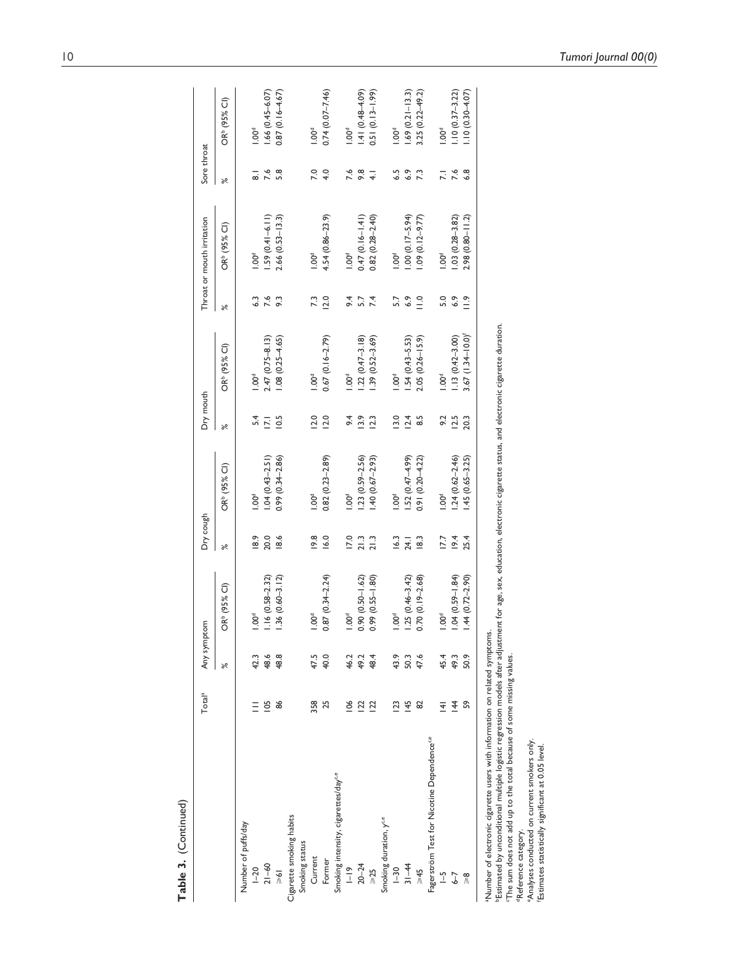| Table 3. (Continued)                                                                                                                                                                                                                                                                                                             |                    |             |                          |                  |                          |                   |                          |               |                            |                |                          |
|----------------------------------------------------------------------------------------------------------------------------------------------------------------------------------------------------------------------------------------------------------------------------------------------------------------------------------|--------------------|-------------|--------------------------|------------------|--------------------------|-------------------|--------------------------|---------------|----------------------------|----------------|--------------------------|
|                                                                                                                                                                                                                                                                                                                                  | Total <sup>a</sup> | Any symptom |                          | Dry cough        |                          | Dry mouth         |                          |               | Throat or mouth irritation | Sore throat    |                          |
|                                                                                                                                                                                                                                                                                                                                  |                    | ৯ৎ          | OR <sup>b</sup> (95% Cl) | $\approx$        | OR <sup>b</sup> (95% CI) | $\aleph$          | OR <sup>b</sup> (95% Cl) | ৯ৎ            | OR <sup>b</sup> (95% Cl)   | $\approx$      | OR <sup>b</sup> (95% Cl) |
| Number of puffs/day                                                                                                                                                                                                                                                                                                              |                    |             |                          |                  |                          |                   |                          |               |                            |                |                          |
| $1 - 20$                                                                                                                                                                                                                                                                                                                         |                    | 42.3        | 1.00 <sup>d</sup>        | $\frac{8.9}{2}$  | 00 <sup>d</sup>          | 54                | $500^{\circ}$            | 63            | $00^4$                     | ್              | 1.00 <sup>d</sup>        |
| $21 - 60$                                                                                                                                                                                                                                                                                                                        | 105                | 48.6        | $1.16(0.58 - 2.32)$      | 20.0             | $1.04(0.43 - 2.51)$      | $\overline{17.1}$ | $2.47(0.75 - 8.13)$      | 7.6           | $.59(0.41 - 6.11)$         | 7.6            | $1.66(0.45 - 6.07)$      |
| $\frac{1}{8}$                                                                                                                                                                                                                                                                                                                    | 86                 | 48.8        | $1.36(0.60 - 3.12)$      | 18.6             | $0.99(0.34 - 2.86)$      | 10.5              | $.08(0.25 - 4.65)$       | $\tilde{9}$   | $2.66(0.53 - 13.3)$        | 5.8            | $0.87(0.16 - 4.67)$      |
| Cigarette smoking habits                                                                                                                                                                                                                                                                                                         |                    |             |                          |                  |                          |                   |                          |               |                            |                |                          |
| Smoking status                                                                                                                                                                                                                                                                                                                   |                    |             |                          |                  |                          |                   |                          |               |                            |                |                          |
| Current                                                                                                                                                                                                                                                                                                                          | 358                | 47.5        | $1.00^{d}$               | 19.8             | 100 <sup>d</sup>         | 12.0              | 1.00 <sup>d</sup>        | 73            | 1.00 <sup>d</sup>          | 7.0            | 1.00 <sup>d</sup>        |
| Former                                                                                                                                                                                                                                                                                                                           | 25                 | 40.0        | $0.87(0.34 - 2.24)$      | 16.0             | $0.82(0.23 - 2.89)$      | 12.0              | $0.67(0.16 - 2.79)$      | 12.0          | $4.54(0.86 - 23.9)$        | 4.0            | $0.74(0.07 - 7.46)$      |
| Smoking intensity, cigarettes/day <sup>c.e</sup>                                                                                                                                                                                                                                                                                 |                    |             |                          |                  |                          |                   |                          |               |                            |                |                          |
| $\frac{9}{1}$                                                                                                                                                                                                                                                                                                                    | 106                | 46.2        | $1.00^{d}$               | 17.0             | 00 <sup>d</sup>          | 64                | 00 <sup>d</sup>          | 64            | 1.00 <sup>d</sup>          |                | $-00^\circ$              |
| $20 - 24$                                                                                                                                                                                                                                                                                                                        | 122                | 49.2        | $0.90(0.50 - 1.62)$      | $21.3$<br>$21.3$ | $1.23(0.59 - 2.56)$      | 13.9              | $.22(0.47 - 3.18)$       | 5.7           | $0.47(0.16 - 1.41)$        | $7.6$<br>9.8   | $1.41(0.48 - 4.09)$      |
| $\geqslant$ 25                                                                                                                                                                                                                                                                                                                   | 122                | 48.4        | $0.99(0.55 - 1.80)$      |                  | $-40(0.67 - 2.93)$       | 12.3              | $.39(0.52 - 3.69)$       | 7.4           | $0.82(0.28 - 2.40)$        | $\overline{+}$ | $0.51(0.13 - 1.99)$      |
| Smoking duration, y <sup>c.e</sup>                                                                                                                                                                                                                                                                                               |                    |             |                          |                  |                          |                   |                          |               |                            |                |                          |
| $1 - 30$                                                                                                                                                                                                                                                                                                                         | 123                | 43.9        | $1.00^{d}$               | 16.3             | $\sum_{i=1}^{6}$         | 13.0              | $\sum_{i=1}^{\infty}$    | 57            | $\sum_{i=1}^{6}$           | 6.5            | $-00^4$                  |
| $31 - 44$                                                                                                                                                                                                                                                                                                                        | 145                | 50.3        | $1.25(0.46 - 3.42)$      | 24.1             | $1.52(0.47 - 4.99)$      | 12.4              | $.54(0.43 - 5.53)$       | 6.9           | $.00(0.17 - 5.94)$         | 6.9            | $1.69(0.21 - 13.3)$      |
| $5+5$                                                                                                                                                                                                                                                                                                                            | 82                 | 47.6        | $0.70(0.19 - 2.68)$      | $\frac{18.3}{ }$ | $0.91(0.20 - 4.22)$      | 8.5               | $2.05(0.26 - 15.9)$      | $\frac{1}{2}$ | $.09(0.12 - 9.77)$         | 73             | $3.25(0.22 - 49.2)$      |
| Fagerström Test for Nicotine Dependence <sup>ce</sup>                                                                                                                                                                                                                                                                            |                    |             |                          |                  |                          |                   |                          |               |                            |                |                          |
| $\overline{\mathcal{L}}$                                                                                                                                                                                                                                                                                                         | $\frac{1}{4}$      | 45.4        | 1.00 <sup>d</sup>        | 17.7             | 1.00 <sup>d</sup>        | 9.2               | 1.00 <sup>d</sup>        | 5.0           | 1.00 <sup>d</sup>          | $\overline{z}$ | 1.00 <sup>d</sup>        |
| $\overline{6}$                                                                                                                                                                                                                                                                                                                   | 144                | 49.3        | $1.04(0.59 - 1.84)$      | 19.4             | $1.24(0.62 - 2.46)$      | 12.5              | $1.13(0.42 - 3.00)$      | 6.9           | $1.03(0.28 - 3.82)$        | $7.6$<br>6.8   | $1.10(0.37 - 3.22)$      |
| $\frac{8}{2}$                                                                                                                                                                                                                                                                                                                    | S                  | 50.9        | $1.44(0.72 - 2.90)$      | 25.4             | 45 (0.65-3.25)           | 20.3              | $3.67(1.34 - 10.0)^t$    | $\frac{1}{2}$ | $2.98(0.80 - 11.2)$        |                | $1.10(0.30 - 4.07)$      |
| Estimated by unconditional multiple logistic regression models after adjustment for age, sex, education, electronic cigarette status, and electronic cigarette duration.<br>a Number of electronic cigarette users with information on related symptoms.<br>The sum does not add up to the total because of some missing values. |                    |             |                          |                  |                          |                   |                          |               |                            |                |                          |
| <sup>d</sup> Reference category.                                                                                                                                                                                                                                                                                                 |                    |             |                          |                  |                          |                   |                          |               |                            |                |                          |
| <sup>e</sup> Analyses conducted on current smokers only.<br>Estimates statistically significant at 0.05 level.                                                                                                                                                                                                                   |                    |             |                          |                  |                          |                   |                          |               |                            |                |                          |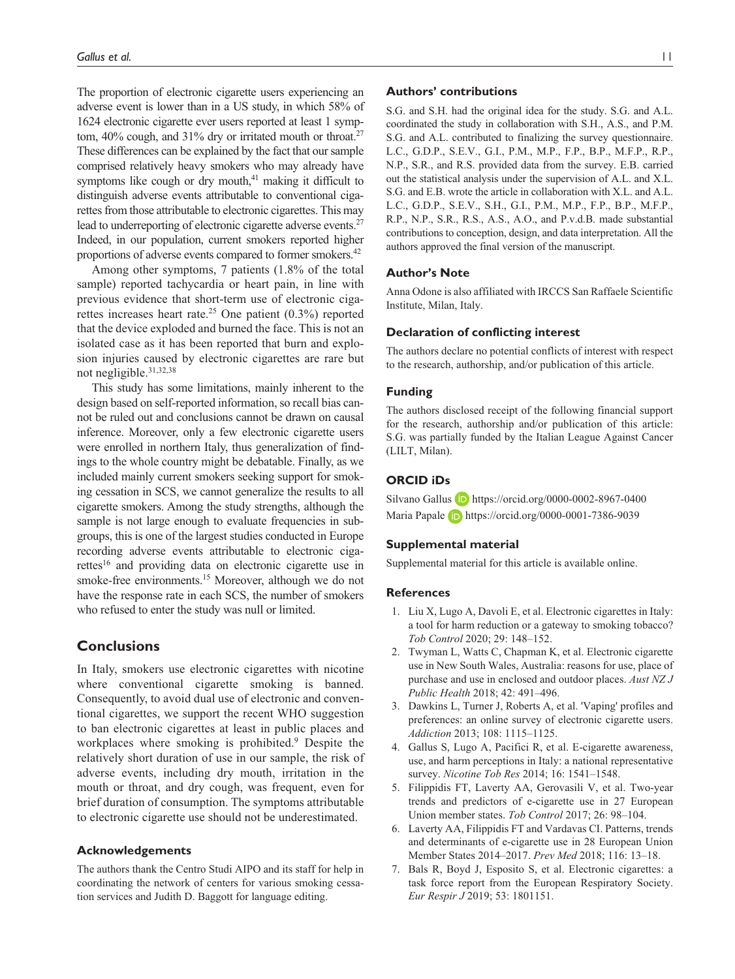The proportion of electronic cigarette users experiencing an adverse event is lower than in a US study, in which 58% of 1624 electronic cigarette ever users reported at least 1 symptom,  $40\%$  cough, and  $31\%$  dry or irritated mouth or throat.<sup>27</sup> These differences can be explained by the fact that our sample comprised relatively heavy smokers who may already have symptoms like cough or dry mouth, $41$  making it difficult to distinguish adverse events attributable to conventional cigarettes from those attributable to electronic cigarettes. This may lead to underreporting of electronic cigarette adverse events.<sup>27</sup> Indeed, in our population, current smokers reported higher proportions of adverse events compared to former smokers.42

Among other symptoms, 7 patients (1.8% of the total sample) reported tachycardia or heart pain, in line with previous evidence that short-term use of electronic cigarettes increases heart rate.<sup>25</sup> One patient  $(0.3\%)$  reported that the device exploded and burned the face. This is not an isolated case as it has been reported that burn and explosion injuries caused by electronic cigarettes are rare but not negligible.31,32,38

This study has some limitations, mainly inherent to the design based on self-reported information, so recall bias cannot be ruled out and conclusions cannot be drawn on causal inference. Moreover, only a few electronic cigarette users were enrolled in northern Italy, thus generalization of findings to the whole country might be debatable. Finally, as we included mainly current smokers seeking support for smoking cessation in SCS, we cannot generalize the results to all cigarette smokers. Among the study strengths, although the sample is not large enough to evaluate frequencies in subgroups, this is one of the largest studies conducted in Europe recording adverse events attributable to electronic cigarettes<sup>16</sup> and providing data on electronic cigarette use in smoke-free environments.<sup>15</sup> Moreover, although we do not have the response rate in each SCS, the number of smokers who refused to enter the study was null or limited.

# **Conclusions**

In Italy, smokers use electronic cigarettes with nicotine where conventional cigarette smoking is banned. Consequently, to avoid dual use of electronic and conventional cigarettes, we support the recent WHO suggestion to ban electronic cigarettes at least in public places and workplaces where smoking is prohibited.<sup>9</sup> Despite the relatively short duration of use in our sample, the risk of adverse events, including dry mouth, irritation in the mouth or throat, and dry cough, was frequent, even for brief duration of consumption. The symptoms attributable to electronic cigarette use should not be underestimated.

## **Acknowledgements**

The authors thank the Centro Studi AIPO and its staff for help in coordinating the network of centers for various smoking cessation services and Judith D. Baggott for language editing.

## **Authors' contributions**

S.G. and S.H. had the original idea for the study. S.G. and A.L. coordinated the study in collaboration with S.H., A.S., and P.M. S.G. and A.L. contributed to finalizing the survey questionnaire. L.C., G.D.P., S.E.V., G.I., P.M., M.P., F.P., B.P., M.F.P., R.P., N.P., S.R., and R.S. provided data from the survey. E.B. carried out the statistical analysis under the supervision of A.L. and X.L. S.G. and E.B. wrote the article in collaboration with X.L. and A.L. L.C., G.D.P., S.E.V., S.H., G.I., P.M., M.P., F.P., B.P., M.F.P., R.P., N.P., S.R., R.S., A.S., A.O., and P.v.d.B. made substantial contributions to conception, design, and data interpretation. All the authors approved the final version of the manuscript.

## **Author's Note**

Anna Odone is also affiliated with IRCCS San Raffaele Scientific Institute, Milan, Italy.

# **Declaration of conflicting interest**

The authors declare no potential conflicts of interest with respect to the research, authorship, and/or publication of this article.

## **Funding**

The authors disclosed receipt of the following financial support for the research, authorship and/or publication of this article: S.G. was partially funded by the Italian League Against Cancer (LILT, Milan).

# **ORCID iDs**

Silvano Gallus D <https://orcid.org/0000-0002-8967-0400> Maria Papale **i** <https://orcid.org/0000-0001-7386-9039>

#### **Supplemental material**

Supplemental material for this article is available online.

#### **References**

- 1. Liu X, Lugo A, Davoli E, et al. Electronic cigarettes in Italy: a tool for harm reduction or a gateway to smoking tobacco? *Tob Control* 2020; 29: 148–152.
- 2. Twyman L, Watts C, Chapman K, et al. Electronic cigarette use in New South Wales, Australia: reasons for use, place of purchase and use in enclosed and outdoor places. *Aust NZ J Public Health* 2018; 42: 491–496.
- 3. Dawkins L, Turner J, Roberts A, et al. 'Vaping' profiles and preferences: an online survey of electronic cigarette users. *Addiction* 2013; 108: 1115–1125.
- 4. Gallus S, Lugo A, Pacifici R, et al. E-cigarette awareness, use, and harm perceptions in Italy: a national representative survey. *Nicotine Tob Res* 2014; 16: 1541–1548.
- 5. Filippidis FT, Laverty AA, Gerovasili V, et al. Two-year trends and predictors of e-cigarette use in 27 European Union member states. *Tob Control* 2017; 26: 98–104.
- 6. Laverty AA, Filippidis FT and Vardavas CI. Patterns, trends and determinants of e-cigarette use in 28 European Union Member States 2014–2017. *Prev Med* 2018; 116: 13–18.
- 7. Bals R, Boyd J, Esposito S, et al. Electronic cigarettes: a task force report from the European Respiratory Society. *Eur Respir J* 2019; 53: 1801151.